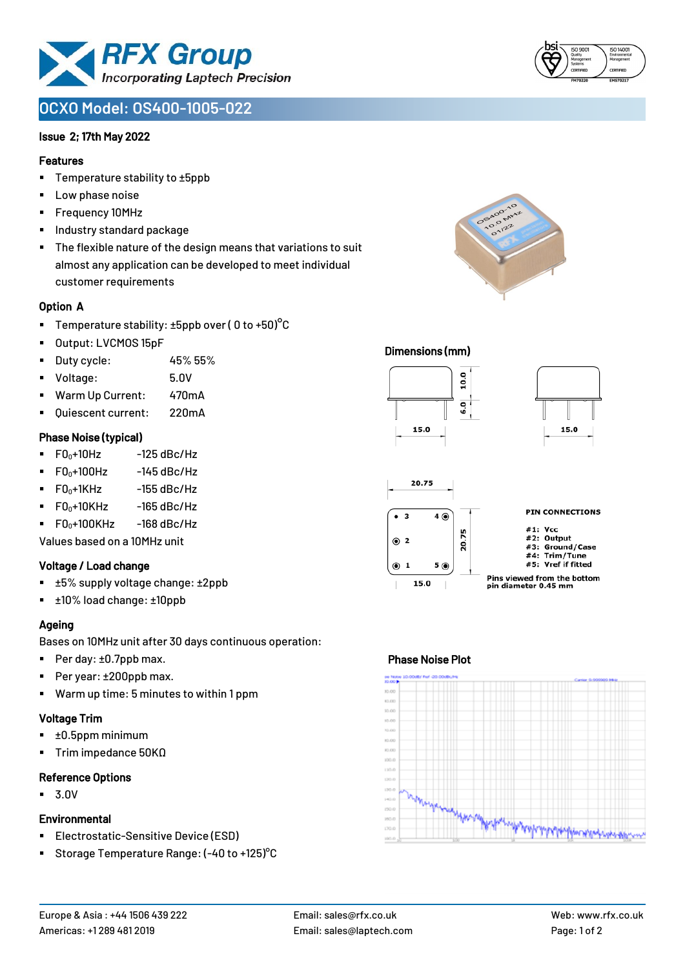

# **OCXO Model: OS400-1005-022**

#### Issue 2; 17th May 2022

#### Features

- Temperature stability to ±5ppb
- Low phase noise
- Frequency 10MHz
- Industry standard package
- The flexible nature of the design means that variations to suit almost any application can be developed to meet individual customer requirements

#### Option A

- **•** Temperature stability:  $\pm 5$ ppb over ( 0 to  $\pm 50$ )<sup>o</sup>C
- Output: LVCMOS 15pF
- Duty cycle: 45% 55%
- Voltage: 5.0V
- Warm Up Current: 470mA
- Ouiescent current: 220mA

#### Phase Noise (typical)

- $\bullet$  F0 $_0+10$ Hz -125 dBc/Hz
- $F0_0+100$ Hz  $-145$  dBc/Hz
- $\blacksquare$  F0 $_0$ +1KHz -155 dBc/Hz
- $\blacksquare$  F0<sub>0</sub>+10KHz -165 dBc/Hz
- $F0_0+100$ KHz  $-168$  dBc/Hz

Values based on a 10MHz unit

#### Voltage / Load change

- ±5% supply voltage change: ±2ppb
- ±10% load change: ±10ppb

## Ageing

Bases on 10MHz unit after 30 days continuous operation:

- Per day: ±0.7ppb max.
- Per year: ±200ppb max.
- Warm up time: 5 minutes to within 1 ppm

#### Voltage Trim

- ±0.5ppm minimum
- Trim impedance 50KΩ

#### Reference Options

▪ 3.0V

#### **Environmental**

- Electrostatic-Sensitive Device (ESD)
- Storage Temperature Range: (-40 to +125)°C



#### Dimensions (mm)





## Phase Noise Plot